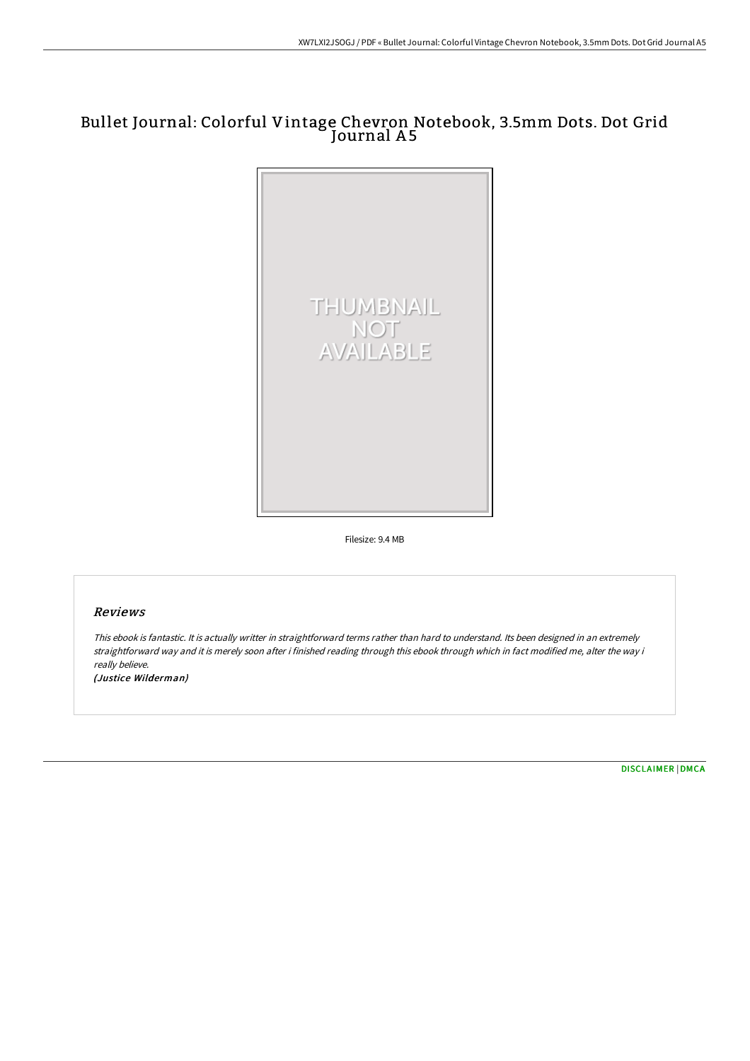# Bullet Journal: Colorful Vintage Chevron Notebook, 3.5mm Dots. Dot Grid Journal A5



Filesize: 9.4 MB

### Reviews

This ebook is fantastic. It is actually writter in straightforward terms rather than hard to understand. Its been designed in an extremely straightforward way and it is merely soon after i finished reading through this ebook through which in fact modified me, alter the way i really believe. (Justice Wilderman)

[DISCLAIMER](http://www.bookdirs.com/disclaimer.html) | [DMCA](http://www.bookdirs.com/dmca.html)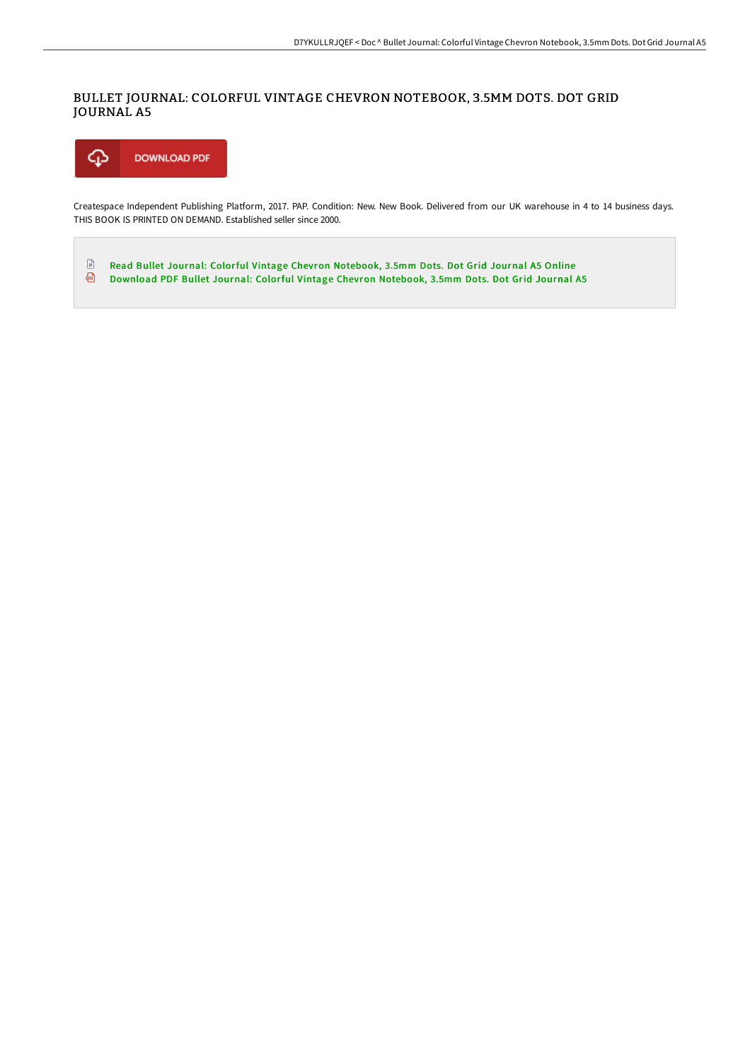### BULLET JOURNAL: COLORFUL VINTAGE CHEVRON NOTEBOOK, 3.5MM DOTS. DOT GRID JOURNAL A5



Createspace Independent Publishing Platform, 2017. PAP. Condition: New. New Book. Delivered from our UK warehouse in 4 to 14 business days. THIS BOOK IS PRINTED ON DEMAND. Established seller since 2000.

 $\mathbf{E}$ Read Bullet Journal: Colorful Vintage Chevron [Notebook,](http://www.bookdirs.com/bullet-journal-colorful-vintage-chevron-notebook.html) 3.5mm Dots. Dot Grid Journal A5 Online Download PDF Bullet Journal: Colorful Vintage Chevron [Notebook,](http://www.bookdirs.com/bullet-journal-colorful-vintage-chevron-notebook.html) 3.5mm Dots. Dot Grid Journal A5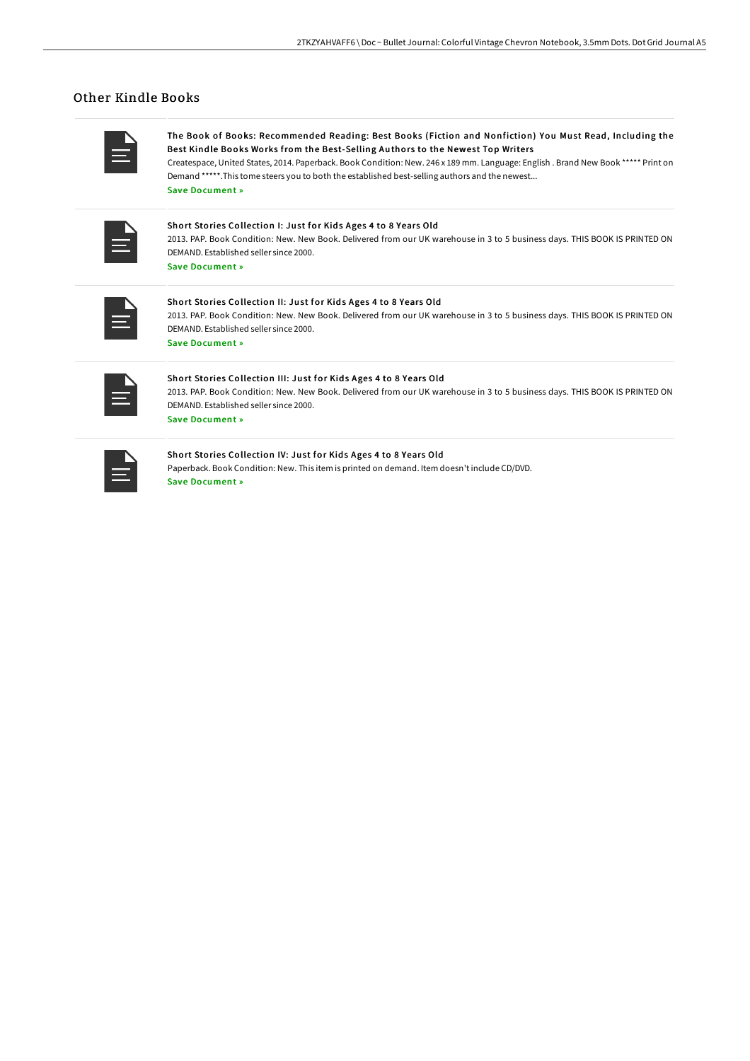## Other Kindle Books

The Book of Books: Recommended Reading: Best Books (Fiction and Nonfiction) You Must Read, Including the Best Kindle Books Works from the Best-Selling Authors to the Newest Top Writers

Createspace, United States, 2014. Paperback. Book Condition: New. 246 x 189 mm. Language: English . Brand New Book \*\*\*\*\* Print on Demand \*\*\*\*\*.This tome steers you to both the established best-selling authors and the newest... Save [Document](http://www.bookdirs.com/the-book-of-books-recommended-reading-best-books.html) »

Short Stories Collection I: Just for Kids Ages 4 to 8 Years Old

2013. PAP. Book Condition: New. New Book. Delivered from our UK warehouse in 3 to 5 business days. THIS BOOK IS PRINTED ON DEMAND. Established seller since 2000.

## Save [Document](http://www.bookdirs.com/short-stories-collection-i-just-for-kids-ages-4-.html) »

Short Stories Collection II: Just for Kids Ages 4 to 8 Years Old 2013. PAP. Book Condition: New. New Book. Delivered from our UK warehouse in 3 to 5 business days. THIS BOOK IS PRINTED ON DEMAND. Established seller since 2000. Save [Document](http://www.bookdirs.com/short-stories-collection-ii-just-for-kids-ages-4.html) »

| <b>Service Service</b>          |
|---------------------------------|
| __                              |
| _____<br><b>Service Service</b> |

#### Short Stories Collection III: Just for Kids Ages 4 to 8 Years Old 2013. PAP. Book Condition: New. New Book. Delivered from our UK warehouse in 3 to 5 business days. THIS BOOK IS PRINTED ON DEMAND. Established seller since 2000.

Save [Document](http://www.bookdirs.com/short-stories-collection-iii-just-for-kids-ages-.html) »

|  |                        | $\mathcal{L}^{\text{max}}_{\text{max}}$ and $\mathcal{L}^{\text{max}}_{\text{max}}$ and $\mathcal{L}^{\text{max}}_{\text{max}}$ |  |
|--|------------------------|---------------------------------------------------------------------------------------------------------------------------------|--|
|  |                        |                                                                                                                                 |  |
|  | <b>Service Service</b> | and the state of the state of the state of the state of the state of the state of the state of the state of th                  |  |

#### Short Stories Collection IV: Just for Kids Ages 4 to 8 Years Old

Paperback. Book Condition: New. This item is printed on demand. Item doesn't include CD/DVD. Save [Document](http://www.bookdirs.com/short-stories-collection-iv-just-for-kids-ages-4.html) »